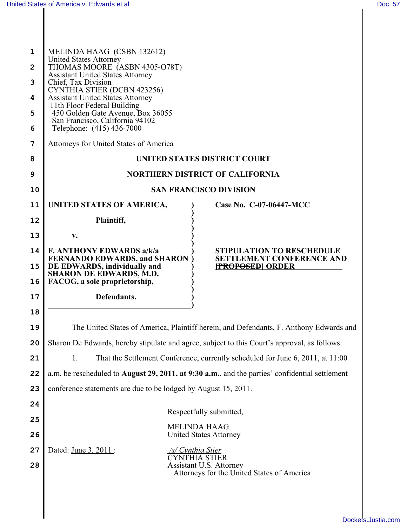| 1<br>2<br>3<br>4<br>5<br>6 | MELINDA HAAG (CSBN 132612)<br><b>United States Attorney</b><br>THOMAS MOORE (ASBN 4305-O78T)<br><b>Assistant United States Attorney</b><br>Chief, Tax Division<br>CYNTHIA STIER (DCBN 423256)<br><b>Assistant United States Attorney</b><br>11th Floor Federal Building<br>450 Golden Gate Avenue, Box 36055<br>San Francisco, California 94102<br>Telephone: (415) 436-7000 |                                                      |  |
|----------------------------|------------------------------------------------------------------------------------------------------------------------------------------------------------------------------------------------------------------------------------------------------------------------------------------------------------------------------------------------------------------------------|------------------------------------------------------|--|
| 7                          | Attorneys for United States of America                                                                                                                                                                                                                                                                                                                                       |                                                      |  |
| 8                          | UNITED STATES DISTRICT COURT                                                                                                                                                                                                                                                                                                                                                 |                                                      |  |
| 9                          | <b>NORTHERN DISTRICT OF CALIFORNIA</b>                                                                                                                                                                                                                                                                                                                                       |                                                      |  |
| 10                         | <b>SAN FRANCISCO DIVISION</b>                                                                                                                                                                                                                                                                                                                                                |                                                      |  |
| 11                         | UNITED STATES OF AMERICA,                                                                                                                                                                                                                                                                                                                                                    | Case No. C-07-06447-MCC                              |  |
| 12                         | Plaintiff,                                                                                                                                                                                                                                                                                                                                                                   |                                                      |  |
| 13                         | $V_{\bullet}$                                                                                                                                                                                                                                                                                                                                                                |                                                      |  |
| 14                         | <b>F. ANTHONY EDWARDS a/k/a</b><br><b>STIPULATION TO RESCHEDULE</b><br><b>FERNANDO EDWARDS, and SHARON</b><br><b>SETTLEMENT CONFERENCE AND</b><br>DE EDWARDS, individually and<br><b>[PROPOSED] ORDER</b><br><b>SHARON DE EDWARDS, M.D.</b><br>FACOG, a sole proprietorship,                                                                                                 |                                                      |  |
| 15<br>16                   |                                                                                                                                                                                                                                                                                                                                                                              |                                                      |  |
| 17                         | Defendants.                                                                                                                                                                                                                                                                                                                                                                  |                                                      |  |
| 18                         |                                                                                                                                                                                                                                                                                                                                                                              |                                                      |  |
| 19                         | The United States of America, Plaintiff herein, and Defendants, F. Anthony Edwards and                                                                                                                                                                                                                                                                                       |                                                      |  |
| 20                         | Sharon De Edwards, hereby stipulate and agree, subject to this Court's approval, as follows:                                                                                                                                                                                                                                                                                 |                                                      |  |
| 21                         | That the Settlement Conference, currently scheduled for June 6, 2011, at 11:00<br>1.                                                                                                                                                                                                                                                                                         |                                                      |  |
| 22                         | a.m. be rescheduled to August 29, 2011, at 9:30 a.m., and the parties' confidential settlement                                                                                                                                                                                                                                                                               |                                                      |  |
| 23                         | conference statements are due to be lodged by August 15, 2011.                                                                                                                                                                                                                                                                                                               |                                                      |  |
| 24                         |                                                                                                                                                                                                                                                                                                                                                                              |                                                      |  |
| 25                         | Respectfully submitted,                                                                                                                                                                                                                                                                                                                                                      |                                                      |  |
| 26                         |                                                                                                                                                                                                                                                                                                                                                                              | <b>MELINDA HAAG</b><br><b>United States Attorney</b> |  |
| 27<br>28                   | Dated: June 3, 2011:<br>/s/ Cynthia Stier<br>CYNTHIA STIER<br>Assistant U.S. Attorney<br>Attorneys for the United States of America                                                                                                                                                                                                                                          |                                                      |  |
|                            |                                                                                                                                                                                                                                                                                                                                                                              |                                                      |  |